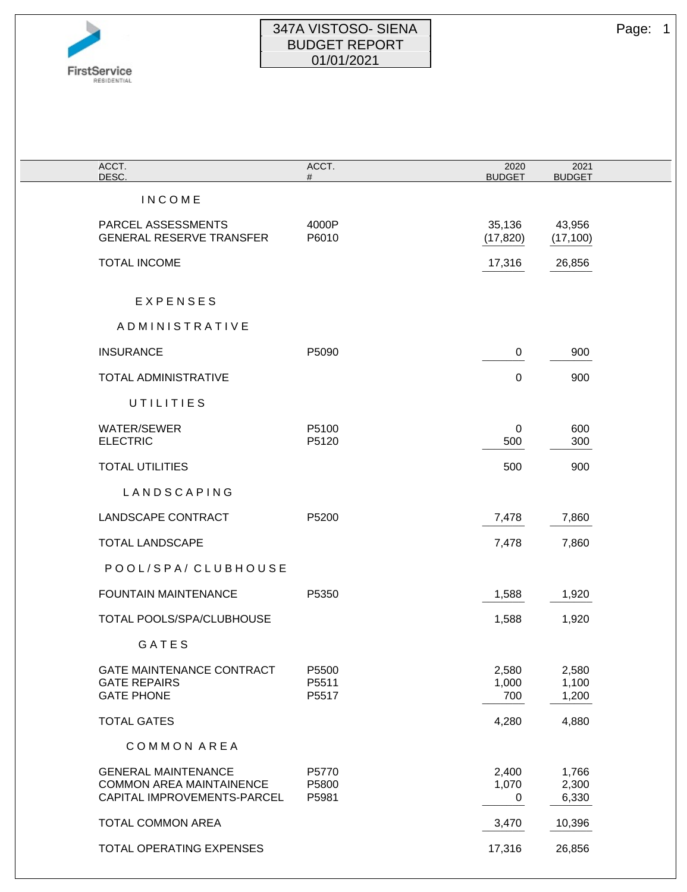

## 347A VISTOSO- SIENA Page: 1 BUDGET REPORT 01/01/2021

|                                                                                              | ACCT.                   | 2020                  | 2021                    |
|----------------------------------------------------------------------------------------------|-------------------------|-----------------------|-------------------------|
| ACCT.<br>DESC.                                                                               | #                       | <b>BUDGET</b>         | <b>BUDGET</b>           |
| <b>INCOME</b>                                                                                |                         |                       |                         |
| PARCEL ASSESSMENTS<br><b>GENERAL RESERVE TRANSFER</b>                                        | 4000P<br>P6010          | 35,136<br>(17, 820)   | 43,956<br>(17, 100)     |
| <b>TOTAL INCOME</b>                                                                          |                         | 17,316                | 26,856                  |
| EXPENSES                                                                                     |                         |                       |                         |
| ADMINISTRATIVE                                                                               |                         |                       |                         |
| <b>INSURANCE</b>                                                                             | P5090                   | 0                     | 900                     |
| <b>TOTAL ADMINISTRATIVE</b>                                                                  |                         | 0                     | 900                     |
| UTILITIES                                                                                    |                         |                       |                         |
| <b>WATER/SEWER</b><br><b>ELECTRIC</b>                                                        | P5100<br>P5120          | $\mathbf 0$<br>500    | 600<br>300              |
| <b>TOTAL UTILITIES</b>                                                                       |                         | 500                   | 900                     |
| LANDSCAPING                                                                                  |                         |                       |                         |
| LANDSCAPE CONTRACT                                                                           | P5200                   | 7,478                 | 7,860                   |
| <b>TOTAL LANDSCAPE</b>                                                                       |                         | 7,478                 | 7,860                   |
| POOL/SPA/CLUBHOUSE                                                                           |                         |                       |                         |
| <b>FOUNTAIN MAINTENANCE</b>                                                                  | P5350                   | 1,588                 | 1,920                   |
| TOTAL POOLS/SPA/CLUBHOUSE                                                                    |                         | 1,588                 | 1,920                   |
| GATES                                                                                        |                         |                       |                         |
| GATE MAINTENANCE CONTRACT<br><b>GATE REPAIRS</b><br><b>GATE PHONE</b>                        | P5500<br>P5511<br>P5517 | 2,580<br>1,000<br>700 | 2,580<br>1,100<br>1,200 |
| <b>TOTAL GATES</b>                                                                           |                         | 4,280                 | 4,880                   |
| COMMON AREA                                                                                  |                         |                       |                         |
| <b>GENERAL MAINTENANCE</b><br><b>COMMON AREA MAINTAINENCE</b><br>CAPITAL IMPROVEMENTS-PARCEL | P5770<br>P5800<br>P5981 | 2,400<br>1,070<br>0   | 1,766<br>2,300<br>6,330 |
| <b>TOTAL COMMON AREA</b>                                                                     |                         | 3,470                 | 10,396                  |
| TOTAL OPERATING EXPENSES                                                                     |                         | 17,316                | 26,856                  |